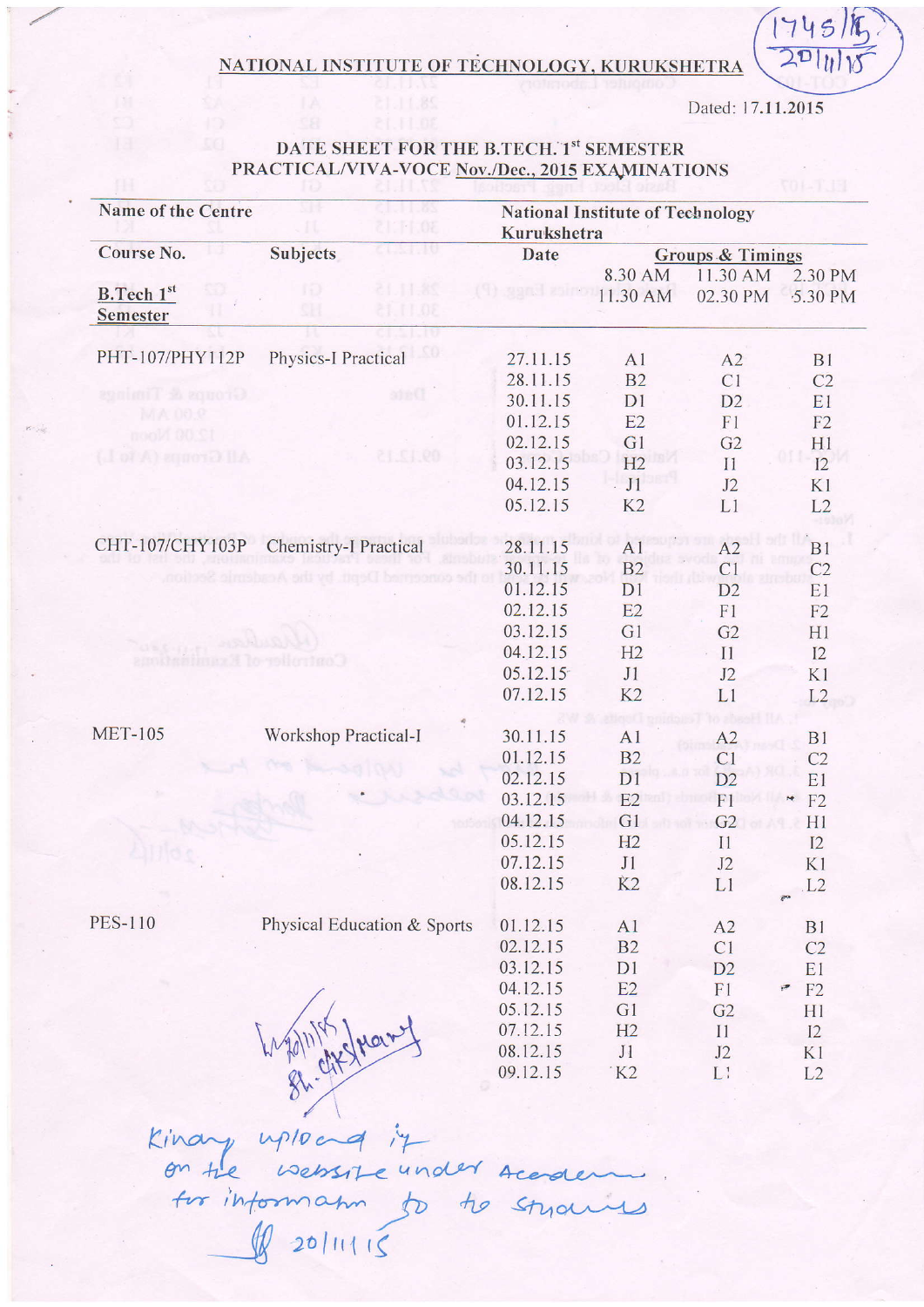## NATIONAL INSTITUTE OF TECHNOLOGY, KURUKSHETRA

Dated: 17.11.2015

 $(745)$ 

 $201$ 

## DATE SHEET FOR THE B.TECH. 1st SEMESTER PRACTICAL/VIVA-VOCE Nov./Dec., 2015 EXAMINATIONS

| <b>Name of the Centre</b> | 93<br>CILI I MS<br>2111.08  |          | <b>National Institute of Technology</b><br>Kurukshetra |                |                |  |
|---------------------------|-----------------------------|----------|--------------------------------------------------------|----------------|----------------|--|
| Course No.                | CONTRO<br>Subjects          | Date     | <b>Groups &amp; Timings</b>                            |                |                |  |
|                           |                             |          | 8.30 AM                                                | 11.30 AM       | 2.30 PM        |  |
| <b>B.Tech 1st</b>         | 21.11.85<br>ro              | 11.30 AM |                                                        | 02.30 PM       | 5.30 PM        |  |
| <b>Semester</b>           | 91<br>81.11.08              |          |                                                        |                |                |  |
|                           | ΠŪ                          |          |                                                        |                |                |  |
| PHT-107/PHY112P           | <b>Physics-I Practical</b>  | 27.11.15 | A1                                                     | A2             | B1             |  |
|                           |                             | 28.11.15 | B <sub>2</sub>                                         | C1             | C <sub>2</sub> |  |
| Groups & Timings          | ajeC                        | 30.11.15 | D1                                                     | D2             | E1             |  |
| MA 00.9                   |                             | 01.12.15 | E2                                                     | F1             | F2             |  |
| 12.00 Noon                |                             | 02.12.15 | G1                                                     | G2             | H1             |  |
| (I of A) squored HA       | 09.12.15                    | 03.12.15 | H2                                                     | I <sub>1</sub> | I2             |  |
|                           |                             | 04.12.15 | $\cdot$ J1                                             | J2             | K1             |  |
|                           |                             | 05.12.15 | K <sub>2</sub>                                         | L <sub>1</sub> | L2             |  |
|                           |                             |          |                                                        |                |                |  |
| CHT-107/CHY103P           | Chemistry-I Practical       | 28.11.15 | A <sub>1</sub>                                         | A2             | B1             |  |
|                           |                             | 30.11.15 | B2                                                     | C1             | C <sub>2</sub> |  |
|                           | Girmaneva aktive me         | 01.12.15 | D1                                                     | D2             | E1             |  |
|                           |                             | 02.12.15 | E2                                                     | F1             | F2             |  |
|                           |                             | 03.12.15 | G1                                                     | G2             | H1             |  |
|                           |                             | 04.12.15 | H2                                                     | $\prod$        | I2             |  |
|                           | Hondao Ca                   | 05.12.15 | J1                                                     | J2             | K1             |  |
|                           |                             | 07.12.15 | K2                                                     | L1             | L2             |  |
|                           |                             |          |                                                        |                |                |  |
| <b>MET-105</b>            | Workshop Practical-I        | 30.11.15 | A1                                                     | A2             | B1             |  |
|                           |                             | 01.12.15 | B <sub>2</sub>                                         | C1             | C <sub>2</sub> |  |
|                           |                             | 02.12.15 | D1                                                     | D2             | E1             |  |
|                           |                             | 03.12.15 | E2                                                     | F <sub>1</sub> | F2<br>×        |  |
|                           |                             | 04.12.15 | G1                                                     | G2             | H1             |  |
|                           |                             | 05.12.15 | H2                                                     | I1             | I2             |  |
|                           |                             | 07.12.15 | J1                                                     | J2             | K1             |  |
|                           |                             | 08.12.15 | K <sub>2</sub>                                         | L1             | L2             |  |
|                           |                             |          |                                                        |                | ę.             |  |
| <b>PES-110</b>            | Physical Education & Sports | 01.12.15 | A1                                                     | A2             | B <sub>1</sub> |  |
|                           |                             | 02.12.15 | B2                                                     | C1             | C <sub>2</sub> |  |
|                           |                             | 03.12.15 | D1                                                     | D2             | E1             |  |
|                           |                             | 04.12.15 | E2                                                     | F1             | F2<br>٣        |  |
|                           |                             | 05.12.15 | G1                                                     | G <sub>2</sub> |                |  |
|                           |                             | 07.12.15 | H2                                                     | I <sub>1</sub> | H1<br>I2       |  |
|                           |                             | 08.12.15 | J1                                                     | J2             | K1             |  |
|                           |                             | 09.12.15 | K2                                                     | L1             | L2             |  |
|                           |                             |          |                                                        |                |                |  |
|                           |                             |          |                                                        |                |                |  |
|                           |                             |          |                                                        |                |                |  |
| Kina                      |                             |          |                                                        |                |                |  |

on the website under Ace<br>for information to the St.<br>If 20/11/15 Styan  $\sim$